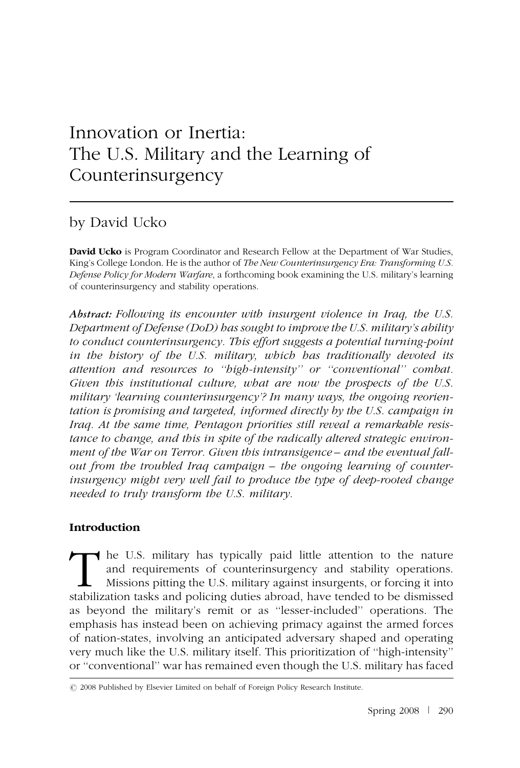# Innovation or Inertia: The U.S. Military and the Learning of Counterinsurgency

## by David Ucko

David Ucko is Program Coordinator and Research Fellow at the Department of War Studies, King's College London. He is the author of The New Counterinsurgency Era: Transforming U.S. Defense Policy for Modern Warfare, a forthcoming book examining the U.S. military's learning of counterinsurgency and stability operations.

Abstract: Following its encounter with insurgent violence in Iraq, the U.S. Department of Defense (DoD) has sought to improve the U.S. military's ability to conduct counterinsurgency. This effort suggests a potential turning-point in the history of the U.S. military, which has traditionally devoted its attention and resources to ''high-intensity'' or ''conventional'' combat. Given this institutional culture, what are now the prospects of the U.S. military 'learning counterinsurgency'? In many ways, the ongoing reorientation is promising and targeted, informed directly by the U.S. campaign in Iraq. At the same time, Pentagon priorities still reveal a remarkable resistance to change, and this in spite of the radically altered strategic environment of the War on Terror. Given this intransigence – and the eventual fallout from the troubled Iraq campaign – the ongoing learning of counterinsurgency might very well fail to produce the type of deep-rooted change needed to truly transform the U.S. military.

### Introduction

 $\blacktriangleleft$  he U.S. military has typically paid little attention to the nature and requirements of counterinsurgency and stability operations. Missions pitting the U.S. military against insurgents, or forcing it into stabilization tasks and policing duties abroad, have tended to be dismissed as beyond the military's remit or as ''lesser-included'' operations. The emphasis has instead been on achieving primacy against the armed forces of nation-states, involving an anticipated adversary shaped and operating very much like the U.S. military itself. This prioritization of ''high-intensity'' or ''conventional'' war has remained even though the U.S. military has faced

 $\circ$  2008 Published by Elsevier Limited on behalf of Foreign Policy Research Institute.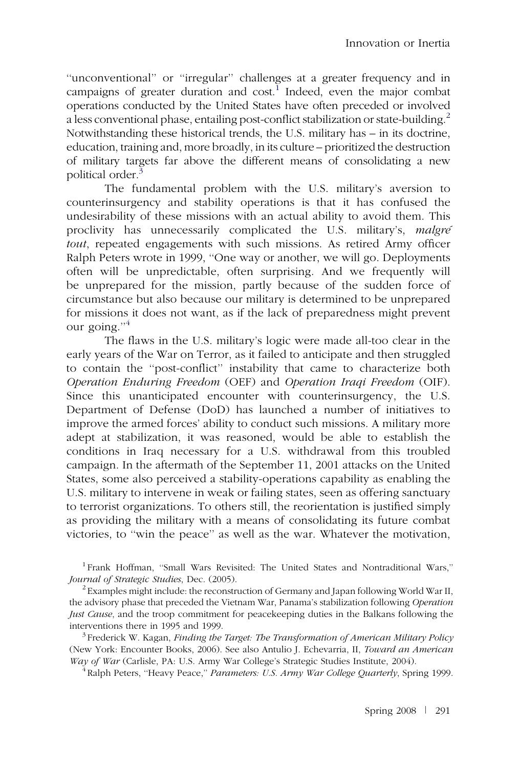''unconventional'' or ''irregular'' challenges at a greater frequency and in campaigns of greater duration and  $cost$ .<sup>1</sup> Indeed, even the major combat operations conducted by the United States have often preceded or involved a less conventional phase, entailing post-conflict stabilization or state-building.<sup>2</sup> Notwithstanding these historical trends, the U.S. military has – in its doctrine, education, training and, more broadly, in its culture – prioritized the destruction of military targets far above the different means of consolidating a new political order.<sup>3</sup>

The fundamental problem with the U.S. military's aversion to counterinsurgency and stability operations is that it has confused the undesirability of these missions with an actual ability to avoid them. This proclivity has unnecessarily complicated the U.S. military's, malgré tout, repeated engagements with such missions. As retired Army officer Ralph Peters wrote in 1999, ''One way or another, we will go. Deployments often will be unpredictable, often surprising. And we frequently will be unprepared for the mission, partly because of the sudden force of circumstance but also because our military is determined to be unprepared for missions it does not want, as if the lack of preparedness might prevent our going." $4$ 

The flaws in the U.S. military's logic were made all-too clear in the early years of the War on Terror, as it failed to anticipate and then struggled to contain the ''post-conflict'' instability that came to characterize both Operation Enduring Freedom (OEF) and Operation Iraqi Freedom (OIF). Since this unanticipated encounter with counterinsurgency, the U.S. Department of Defense (DoD) has launched a number of initiatives to improve the armed forces' ability to conduct such missions. A military more adept at stabilization, it was reasoned, would be able to establish the conditions in Iraq necessary for a U.S. withdrawal from this troubled campaign. In the aftermath of the September 11, 2001 attacks on the United States, some also perceived a stability-operations capability as enabling the U.S. military to intervene in weak or failing states, seen as offering sanctuary to terrorist organizations. To others still, the reorientation is justified simply as providing the military with a means of consolidating its future combat victories, to ''win the peace'' as well as the war. Whatever the motivation,

<sup>1</sup> Frank Hoffman, ''Small Wars Revisited: The United States and Nontraditional Wars,'' Journal of Strategic Studies, Dec. (2005). <sup>2</sup> Examples might include: the reconstruction of Germany and Japan following World War II,

the advisory phase that preceded the Vietnam War, Panama's stabilization following Operation Just Cause, and the troop commitment for peacekeeping duties in the Balkans following the interventions there in 1995 and 1999.<br><sup>3</sup> Frederick W. Kagan, *Finding the Target: The Transformation of American Military Policy* 

(New York: Encounter Books, 2006). See also Antulio J. Echevarria, II, Toward an American

Way of War (Carlisle, PA: U.S. Army War College's Strategic Studies Institute, 2004).<br><sup>4</sup> Ralph Peters, "Heavy Peace," *Parameters: U.S. Army War College Quarterly*, Spring 1999.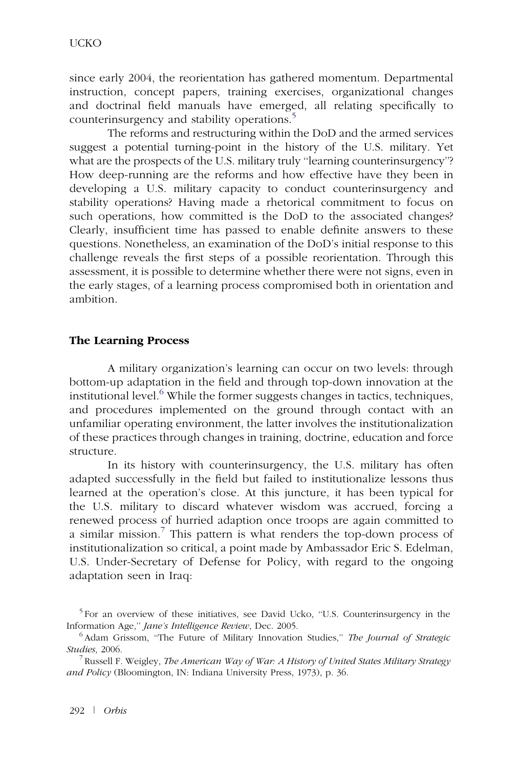since early 2004, the reorientation has gathered momentum. Departmental instruction, concept papers, training exercises, organizational changes and doctrinal field manuals have emerged, all relating specifically to counterinsurgency and stability operations.<sup>5</sup>

The reforms and restructuring within the DoD and the armed services suggest a potential turning-point in the history of the U.S. military. Yet what are the prospects of the U.S. military truly "learning counterinsurgency"? How deep-running are the reforms and how effective have they been in developing a U.S. military capacity to conduct counterinsurgency and stability operations? Having made a rhetorical commitment to focus on such operations, how committed is the DoD to the associated changes? Clearly, insufficient time has passed to enable definite answers to these questions. Nonetheless, an examination of the DoD's initial response to this challenge reveals the first steps of a possible reorientation. Through this assessment, it is possible to determine whether there were not signs, even in the early stages, of a learning process compromised both in orientation and ambition.

#### The Learning Process

A military organization's learning can occur on two levels: through bottom-up adaptation in the field and through top-down innovation at the institutional level.<sup>6</sup> While the former suggests changes in tactics, techniques, and procedures implemented on the ground through contact with an unfamiliar operating environment, the latter involves the institutionalization of these practices through changes in training, doctrine, education and force structure.

In its history with counterinsurgency, the U.S. military has often adapted successfully in the field but failed to institutionalize lessons thus learned at the operation's close. At this juncture, it has been typical for the U.S. military to discard whatever wisdom was accrued, forcing a renewed process of hurried adaption once troops are again committed to a similar mission.<sup>7</sup> This pattern is what renders the top-down process of institutionalization so critical, a point made by Ambassador Eric S. Edelman, U.S. Under-Secretary of Defense for Policy, with regard to the ongoing adaptation seen in Iraq:

<sup>5</sup> For an overview of these initiatives, see David Ucko, ''U.S. Counterinsurgency in the Information Age,'' Jane's Intelligence Review, Dec. 2005.

 $6$  Adam Grissom, "The Future of Military Innovation Studies," The Journal of Strategic Studies, 2006. <sup>7</sup> Russell F. Weigley, The American Way of War: A History of United States Military Strategy

and Policy (Bloomington, IN: Indiana University Press, 1973), p. 36.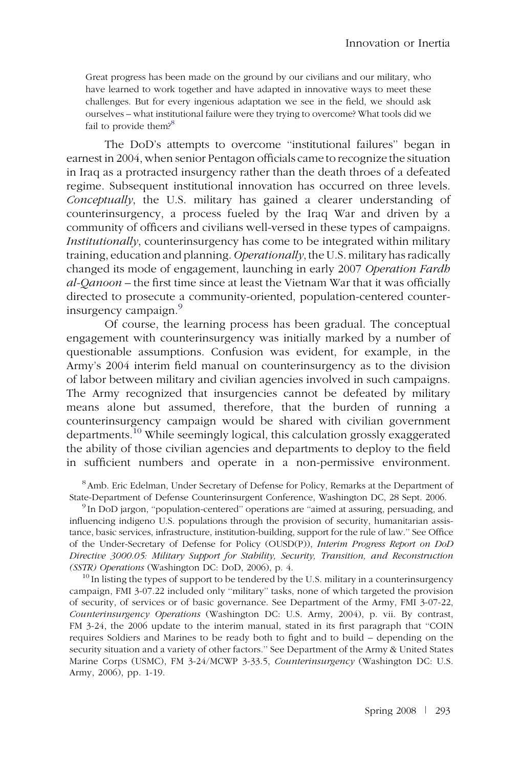Great progress has been made on the ground by our civilians and our military, who have learned to work together and have adapted in innovative ways to meet these challenges. But for every ingenious adaptation we see in the field, we should ask ourselves – what institutional failure were they trying to overcome? What tools did we fail to provide them?<sup>8</sup>

The DoD's attempts to overcome ''institutional failures'' began in earnest in 2004, when senior Pentagon officialscame to recognize the situation in Iraq as a protracted insurgency rather than the death throes of a defeated regime. Subsequent institutional innovation has occurred on three levels. Conceptually, the U.S. military has gained a clearer understanding of counterinsurgency, a process fueled by the Iraq War and driven by a community of officers and civilians well-versed in these types of campaigns. Institutionally, counterinsurgency has come to be integrated within military training, education and planning. Operationally, the U.S. military has radically changed its mode of engagement, launching in early 2007 Operation Fardh al-Qanoon – the first time since at least the Vietnam War that it was officially directed to prosecute a community-oriented, population-centered counterinsurgency campaign.<sup>9</sup>

Of course, the learning process has been gradual. The conceptual engagement with counterinsurgency was initially marked by a number of questionable assumptions. Confusion was evident, for example, in the Army's 2004 interim field manual on counterinsurgency as to the division of labor between military and civilian agencies involved in such campaigns. The Army recognized that insurgencies cannot be defeated by military means alone but assumed, therefore, that the burden of running a counterinsurgency campaign would be shared with civilian government departments.<sup>10</sup> While seemingly logical, this calculation grossly exaggerated the ability of those civilian agencies and departments to deploy to the field in sufficient numbers and operate in a non-permissive environment.

<sup>8</sup> Amb. Eric Edelman, Under Secretary of Defense for Policy, Remarks at the Department of State-Department of Defense Counterinsurgent Conference, Washington DC, 28 Sept. 2006. <sup>9</sup> In DoD jargon, ''population-centered'' operations are ''aimed at assuring, persuading, and

influencing indigeno U.S. populations through the provision of security, humanitarian assistance, basic services, infrastructure, institution-building, support for the rule of law.'' See Office of the Under-Secretary of Defense for Policy (OUSD(P)), Interim Progress Report on DoD Directive 3000.05: Military Support for Stability, Security, Transition, and Reconstruction (SSTR) Operations (Washington DC: DoD, 2006), p. 4.  $10 \text{ In listing the types of support to be tended by the U.S. military in a counterinsurgery}$ 

campaign, FMI 3-07.22 included only ''military'' tasks, none of which targeted the provision of security, of services or of basic governance. See Department of the Army, FMI 3-07-22, Counterinsurgency Operations (Washington DC: U.S. Army, 2004), p. vii. By contrast, FM 3-24, the 2006 update to the interim manual, stated in its first paragraph that ''COIN requires Soldiers and Marines to be ready both to fight and to build – depending on the security situation and a variety of other factors.'' See Department of the Army & United States Marine Corps (USMC), FM 3-24/MCWP 3-33.5, Counterinsurgency (Washington DC: U.S. Army, 2006), pp. 1-19.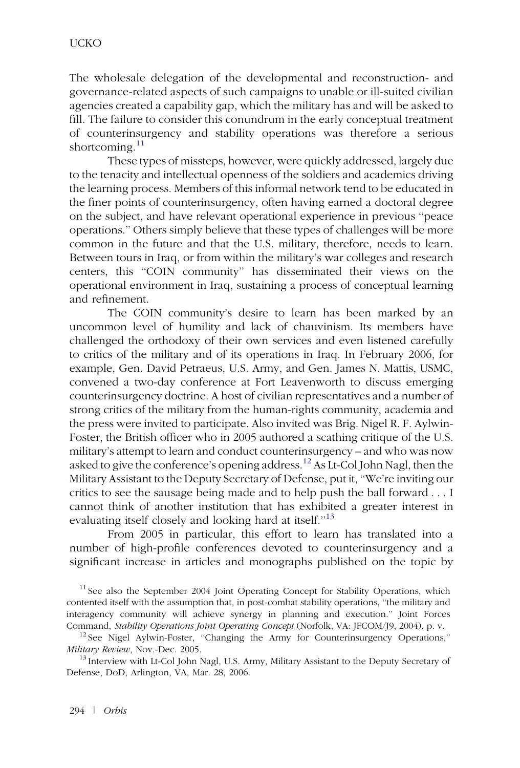The wholesale delegation of the developmental and reconstruction- and governance-related aspects of such campaigns to unable or ill-suited civilian agencies created a capability gap, which the military has and will be asked to fill. The failure to consider this conundrum in the early conceptual treatment of counterinsurgency and stability operations was therefore a serious shortcoming.<sup>11</sup>

These types of missteps, however, were quickly addressed, largely due to the tenacity and intellectual openness of the soldiers and academics driving the learning process. Members of this informal network tend to be educated in the finer points of counterinsurgency, often having earned a doctoral degree on the subject, and have relevant operational experience in previous ''peace operations.'' Others simply believe that these types of challenges will be more common in the future and that the U.S. military, therefore, needs to learn. Between tours in Iraq, or from within the military's war colleges and research centers, this ''COIN community'' has disseminated their views on the operational environment in Iraq, sustaining a process of conceptual learning and refinement.

The COIN community's desire to learn has been marked by an uncommon level of humility and lack of chauvinism. Its members have challenged the orthodoxy of their own services and even listened carefully to critics of the military and of its operations in Iraq. In February 2006, for example, Gen. David Petraeus, U.S. Army, and Gen. James N. Mattis, USMC, convened a two-day conference at Fort Leavenworth to discuss emerging counterinsurgency doctrine. A host of civilian representatives and a number of strong critics of the military from the human-rights community, academia and the press were invited to participate. Also invited was Brig. Nigel R. F. Aylwin-Foster, the British officer who in 2005 authored a scathing critique of the U.S. military's attempt to learn and conduct counterinsurgency – and who was now asked to give the conference's opening address.<sup>12</sup> As Lt-Col John Nagl, then the Military Assistant to the Deputy Secretary of Defense, put it, ''We're inviting our critics to see the sausage being made and to help push the ball forward . . . I cannot think of another institution that has exhibited a greater interest in evaluating itself closely and looking hard at itself."<sup>13</sup>

From 2005 in particular, this effort to learn has translated into a number of high-profile conferences devoted to counterinsurgency and a significant increase in articles and monographs published on the topic by

<sup>11</sup> See also the September 2004 Joint Operating Concept for Stability Operations, which contented itself with the assumption that, in post-combat stability operations, ''the military and interagency community will achieve synergy in planning and execution.'' Joint Forces Command, *Stability Operations Joint Operating Concept* (Norfolk, VA: JFCOM/J9, 2004), p. v. <sup>12</sup> See Nigel Aylwin-Foster, "Changing the Army for Counterinsurgency Operations,"

Military Review, Nov.-Dec. 2005.<br><sup>13</sup> Interview with Lt-Col John Nagl, U.S. Army, Military Assistant to the Deputy Secretary of

Defense, DoD, Arlington, VA, Mar. 28, 2006.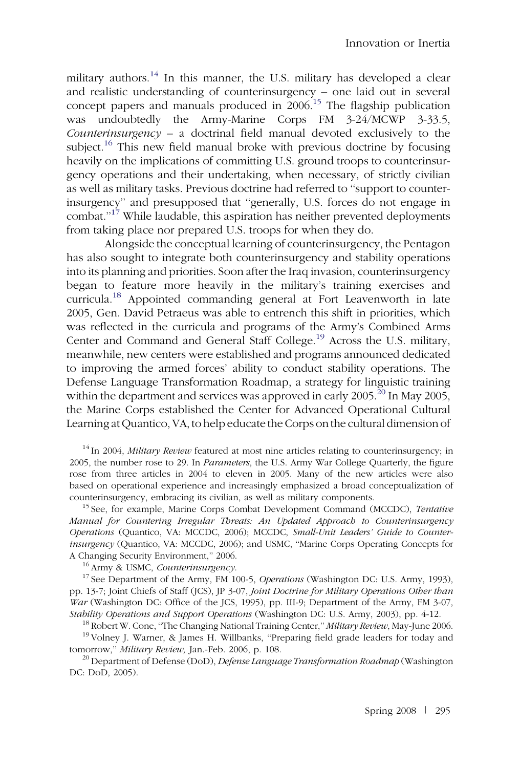military authors.<sup>14</sup> In this manner, the U.S. military has developed a clear and realistic understanding of counterinsurgency – one laid out in several concept papers and manuals produced in 2006.<sup>15</sup> The flagship publication was undoubtedly the Army-Marine Corps FM 3-24/MCWP 3-33.5, Counterinsurgency – a doctrinal field manual devoted exclusively to the subject.<sup>16</sup> This new field manual broke with previous doctrine by focusing heavily on the implications of committing U.S. ground troops to counterinsurgency operations and their undertaking, when necessary, of strictly civilian as well as military tasks. Previous doctrine had referred to ''support to counterinsurgency'' and presupposed that ''generally, U.S. forces do not engage in combat."<sup>17</sup> While laudable, this aspiration has neither prevented deployments from taking place nor prepared U.S. troops for when they do.

Alongside the conceptual learning of counterinsurgency, the Pentagon has also sought to integrate both counterinsurgency and stability operations into its planning and priorities. Soon after the Iraq invasion, counterinsurgency began to feature more heavily in the military's training exercises and curricula.18 Appointed commanding general at Fort Leavenworth in late 2005, Gen. David Petraeus was able to entrench this shift in priorities, which was reflected in the curricula and programs of the Army's Combined Arms Center and Command and General Staff College.<sup>19</sup> Across the U.S. military, meanwhile, new centers were established and programs announced dedicated to improving the armed forces' ability to conduct stability operations. The Defense Language Transformation Roadmap, a strategy for linguistic training within the department and services was approved in early 2005.<sup>20</sup> In May 2005, the Marine Corps established the Center for Advanced Operational Cultural Learning at Quantico, VA, to help educate the Corps on the cultural dimension of

 $14$  In 2004, *Military Review* featured at most nine articles relating to counterinsurgency; in 2005, the number rose to 29. In Parameters, the U.S. Army War College Quarterly, the figure rose from three articles in 2004 to eleven in 2005. Many of the new articles were also based on operational experience and increasingly emphasized a broad conceptualization of counterinsurgency, embracing its civilian, as well as military components. <sup>15</sup> See, for example, Marine Corps Combat Development Command (MCCDC), Tentative

Manual for Countering Irregular Threats: An Updated Approach to Counterinsurgency Operations (Quantico, VA: MCCDC, 2006); MCCDC, Small-Unit Leaders' Guide to Counterinsurgency (Quantico, VA: MCCDC, 2006); and USMC, ''Marine Corps Operating Concepts for A Changing Security Environment,'' 2006.

<sup>16</sup> Army & USMC, *Counterinsurgency*.<br><sup>17</sup> See Department of the Army, FM 100-5, *Operations* (Washington DC: U.S. Army, 1993), pp. 13-7; Joint Chiefs of Staff (JCS), JP 3-07, Joint Doctrine for Military Operations Other than War (Washington DC: Office of the JCS, 1995), pp. III-9; Department of the Army, FM 3-07, Stability Operations and Support Operations (Washington DC: U.S. Army, 2003), pp. 4-12.<br><sup>18</sup> Robert W. Cone, "The Changing National Training Center," *Military Review*, May-June 2006.<br><sup>19</sup> Volney J. Warner, & James H. Will

tomorrow," *Military Review*, Jan.-Feb. 2006, p. 108.<br><sup>20</sup> Department of Defense (DoD), *Defense Language Transformation Roadmap* (Washington

DC: DoD, 2005).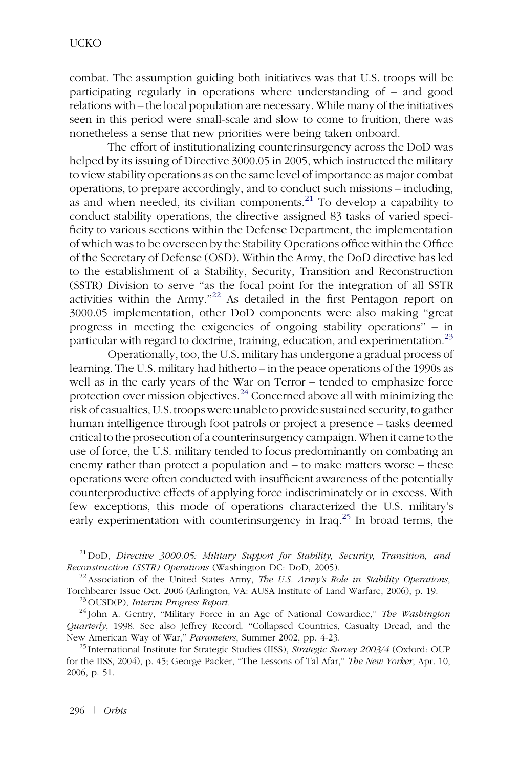combat. The assumption guiding both initiatives was that U.S. troops will be participating regularly in operations where understanding of – and good relations with – the local population are necessary. While many of the initiatives seen in this period were small-scale and slow to come to fruition, there was nonetheless a sense that new priorities were being taken onboard.

The effort of institutionalizing counterinsurgency across the DoD was helped by its issuing of Directive 3000.05 in 2005, which instructed the military to view stability operations as on the same level of importance as major combat operations, to prepare accordingly, and to conduct such missions – including, as and when needed, its civilian components.21 To develop a capability to conduct stability operations, the directive assigned 83 tasks of varied specificity to various sections within the Defense Department, the implementation of which was to be overseen by the Stability Operations office within the Office of the Secretary of Defense (OSD). Within the Army, the DoD directive has led to the establishment of a Stability, Security, Transition and Reconstruction (SSTR) Division to serve ''as the focal point for the integration of all SSTR activities within the Army."<sup>22</sup> As detailed in the first Pentagon report on 3000.05 implementation, other DoD components were also making ''great progress in meeting the exigencies of ongoing stability operations'' – in particular with regard to doctrine, training, education, and experimentation.<sup>23</sup>

Operationally, too, the U.S. military has undergone a gradual process of learning. The U.S. military had hitherto – in the peace operations of the 1990s as well as in the early years of the War on Terror – tended to emphasize force protection over mission objectives. $24$  Concerned above all with minimizing the risk of casualties, U.S. troops were unable to provide sustained security, to gather human intelligence through foot patrols or project a presence – tasks deemed critical to the prosecution of a counterinsurgency campaign. When it came to the use of force, the U.S. military tended to focus predominantly on combating an enemy rather than protect a population and – to make matters worse – these operations were often conducted with insufficient awareness of the potentially counterproductive effects of applying force indiscriminately or in excess. With few exceptions, this mode of operations characterized the U.S. military's early experimentation with counterinsurgency in Iraq.<sup>25</sup> In broad terms, the

<sup>21</sup> DoD, Directive 3000.05: Military Support for Stability, Security, Transition, and Reconstruction (SSTR) Operations (Washington DC: DoD, 2005).<br><sup>22</sup> Association of the United States Army, *The U.S. Army's Role in Stability Operations*,

Torchbearer Issue Oct. 2006 (Arlington, VA: AUSA Institute of Land Warfare, 2006), p. 19. <sup>23</sup> OUSD(P), Interim Progress Report. <sup>24</sup> John A. Gentry, ''Military Force in an Age of National Cowardice,'' The Washington

Quarterly, 1998. See also Jeffrey Record, ''Collapsed Countries, Casualty Dread, and the New American Way of War,'' Parameters, Summer 2002, pp. 4-23. <sup>25</sup> International Institute for Strategic Studies (IISS), Strategic Survey 2003/4 (Oxford: OUP

for the IISS, 2004), p. 45; George Packer, ''The Lessons of Tal Afar,'' The New Yorker, Apr. 10, 2006, p. 51.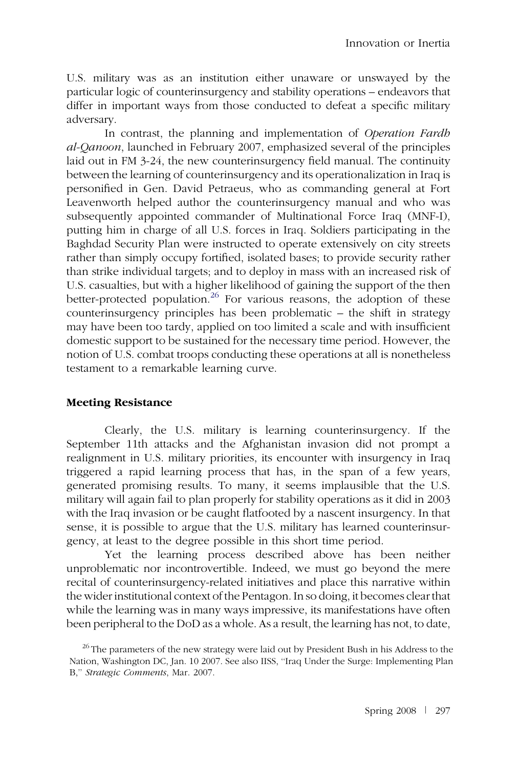U.S. military was as an institution either unaware or unswayed by the particular logic of counterinsurgency and stability operations – endeavors that differ in important ways from those conducted to defeat a specific military adversary.

In contrast, the planning and implementation of Operation Fardh al-Qanoon, launched in February 2007, emphasized several of the principles laid out in FM 3-24, the new counterinsurgency field manual. The continuity between the learning of counterinsurgency and its operationalization in Iraq is personified in Gen. David Petraeus, who as commanding general at Fort Leavenworth helped author the counterinsurgency manual and who was subsequently appointed commander of Multinational Force Iraq (MNF-I), putting him in charge of all U.S. forces in Iraq. Soldiers participating in the Baghdad Security Plan were instructed to operate extensively on city streets rather than simply occupy fortified, isolated bases; to provide security rather than strike individual targets; and to deploy in mass with an increased risk of U.S. casualties, but with a higher likelihood of gaining the support of the then better-protected population.<sup>26</sup> For various reasons, the adoption of these counterinsurgency principles has been problematic – the shift in strategy may have been too tardy, applied on too limited a scale and with insufficient domestic support to be sustained for the necessary time period. However, the notion of U.S. combat troops conducting these operations at all is nonetheless testament to a remarkable learning curve.

#### Meeting Resistance

Clearly, the U.S. military is learning counterinsurgency. If the September 11th attacks and the Afghanistan invasion did not prompt a realignment in U.S. military priorities, its encounter with insurgency in Iraq triggered a rapid learning process that has, in the span of a few years, generated promising results. To many, it seems implausible that the U.S. military will again fail to plan properly for stability operations as it did in 2003 with the Iraq invasion or be caught flatfooted by a nascent insurgency. In that sense, it is possible to argue that the U.S. military has learned counterinsurgency, at least to the degree possible in this short time period.

Yet the learning process described above has been neither unproblematic nor incontrovertible. Indeed, we must go beyond the mere recital of counterinsurgency-related initiatives and place this narrative within the wider institutional context of the Pentagon. In so doing, it becomes clear that while the learning was in many ways impressive, its manifestations have often been peripheral to the DoD as a whole. As a result, the learning has not, to date,

<sup>&</sup>lt;sup>26</sup> The parameters of the new strategy were laid out by President Bush in his Address to the Nation, Washington DC, Jan. 10 2007. See also IISS, ''Iraq Under the Surge: Implementing Plan B,'' Strategic Comments, Mar. 2007.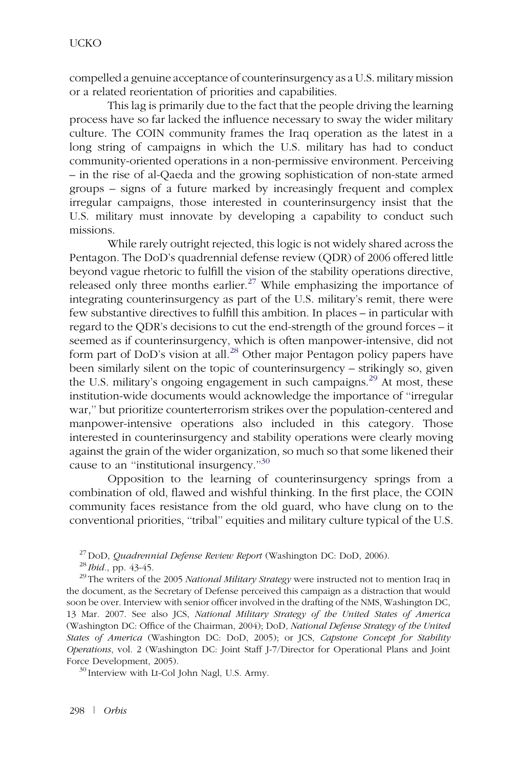compelled a genuine acceptance of counterinsurgency as a U.S. military mission or a related reorientation of priorities and capabilities.

This lag is primarily due to the fact that the people driving the learning process have so far lacked the influence necessary to sway the wider military culture. The COIN community frames the Iraq operation as the latest in a long string of campaigns in which the U.S. military has had to conduct community-oriented operations in a non-permissive environment. Perceiving – in the rise of al-Qaeda and the growing sophistication of non-state armed groups – signs of a future marked by increasingly frequent and complex irregular campaigns, those interested in counterinsurgency insist that the U.S. military must innovate by developing a capability to conduct such missions.

While rarely outright rejected, this logic is not widely shared across the Pentagon. The DoD's quadrennial defense review (QDR) of 2006 offered little beyond vague rhetoric to fulfill the vision of the stability operations directive, released only three months earlier.<sup>27</sup> While emphasizing the importance of integrating counterinsurgency as part of the U.S. military's remit, there were few substantive directives to fulfill this ambition. In places – in particular with regard to the QDR's decisions to cut the end-strength of the ground forces – it seemed as if counterinsurgency, which is often manpower-intensive, did not form part of DoD's vision at all.<sup>28</sup> Other major Pentagon policy papers have been similarly silent on the topic of counterinsurgency – strikingly so, given the U.S. military's ongoing engagement in such campaigns.<sup>29</sup> At most, these institution-wide documents would acknowledge the importance of ''irregular war,'' but prioritize counterterrorism strikes over the population-centered and manpower-intensive operations also included in this category. Those interested in counterinsurgency and stability operations were clearly moving against the grain of the wider organization, so much so that some likened their cause to an "institutional insurgency."<sup>30</sup>

Opposition to the learning of counterinsurgency springs from a combination of old, flawed and wishful thinking. In the first place, the COIN community faces resistance from the old guard, who have clung on to the conventional priorities, ''tribal'' equities and military culture typical of the U.S.

<sup>27</sup> DoD, *Quadrennial Defense Review Report* (Washington DC: DoD, 2006).<br><sup>28</sup> *Ibid.*, pp. 43-45. <sup>29</sup> The writers of the 2005 *National Military Strategy* were instructed not to mention Iraq in

the document, as the Secretary of Defense perceived this campaign as a distraction that would soon be over. Interview with senior officer involved in the drafting of the NMS, Washington DC, 13 Mar. 2007. See also JCS, National Military Strategy of the United States of America (Washington DC: Office of the Chairman, 2004); DoD, National Defense Strategy of the United States of America (Washington DC: DoD, 2005); or JCS, Capstone Concept for Stability Operations, vol. 2 (Washington DC: Joint Staff J-7/Director for Operational Plans and Joint Force Development, 2005).<br><sup>30</sup> Interview with Lt-Col John Nagl, U.S. Army.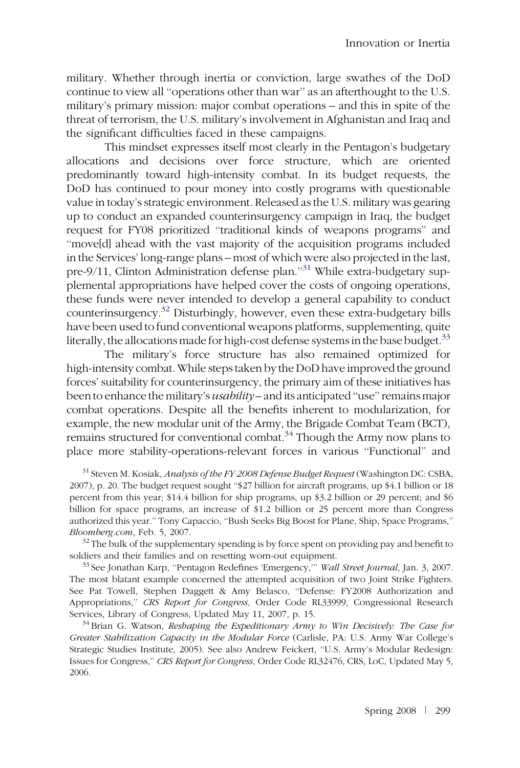military. Whether through inertia or conviction, large swathes of the DoD continue to view all ''operations other than war'' as an afterthought to the U.S. military's primary mission: major combat operations – and this in spite of the threat of terrorism, the U.S. military's involvement in Afghanistan and Iraq and the significant difficulties faced in these campaigns.

This mindset expresses itself most clearly in the Pentagon's budgetary allocations and decisions over force structure, which are oriented predominantly toward high-intensity combat. In its budget requests, the DoD has continued to pour money into costly programs with questionable value in today's strategic environment. Released as the U.S. military was gearing up to conduct an expanded counterinsurgency campaign in Iraq, the budget request for FY08 prioritized ''traditional kinds of weapons programs'' and ''move[d] ahead with the vast majority of the acquisition programs included in the Services' long-range plans – most of which were also projected in the last, pre-9/11, Clinton Administration defense plan."<sup>31</sup> While extra-budgetary supplemental appropriations have helped cover the costs of ongoing operations, these funds were never intended to develop a general capability to conduct counterinsurgency.32 Disturbingly, however, even these extra-budgetary bills have been used to fund conventional weapons platforms, supplementing, quite literally, the allocations made for high-cost defense systems in the base budget.<sup>33</sup>

The military's force structure has also remained optimized for high-intensity combat. While steps taken by the DoD have improved the ground forces' suitability for counterinsurgency, the primary aim of these initiatives has been to enhance the military's *usability* – and its anticipated "use" remains major combat operations. Despite all the benefits inherent to modularization, for example, the new modular unit of the Army, the Brigade Combat Team (BCT), remains structured for conventional combat.34 Though the Army now plans to place more stability-operations-relevant forces in various ''Functional'' and

<sup>31</sup> Steven M. Kosiak, *Analysis of the FY 2008 Defense Budget Request* (Washington DC: CSBA, 2007), p. 20. The budget request sought ''\$27 billion for aircraft programs, up \$4.1 billion or 18 percent from this year; \$14.4 billion for ship programs, up \$3.2 billion or 29 percent; and \$6 billion for space programs, an increase of \$1.2 billion or 25 percent more than Congress authorized this year.'' Tony Capaccio, ''Bush Seeks Big Boost for Plane, Ship, Space Programs,'' Bloomberg.com, Feb. 5, 2007. <sup>32</sup> The bulk of the supplementary spending is by force spent on providing pay and benefit to

soldiers and their families and on resetting worn-out equipment.<br><sup>33</sup> See Jonathan Karp, "Pentagon Redefines 'Emergency,"' *Wall Street Journal*, Jan. 3, 2007.

The most blatant example concerned the attempted acquisition of two Joint Strike Fighters. See Pat Towell, Stephen Daggett & Amy Belasco, ''Defense: FY2008 Authorization and Appropriations,'' CRS Report for Congress, Order Code RL33999, Congressional Research Services, Library of Congress, Updated May 11, 2007, p. 15.

 $34$  Brian G. Watson, Reshaping the Expeditionary Army to Win Decisively: The Case for Greater Stabilization Capacity in the Modular Force (Carlisle, PA: U.S. Army War College's Strategic Studies Institute, 2005). See also Andrew Feickert, ''U.S. Army's Modular Redesign: Issues for Congress,'' CRS Report for Congress, Order Code RL32476, CRS, LoC, Updated May 5, 2006.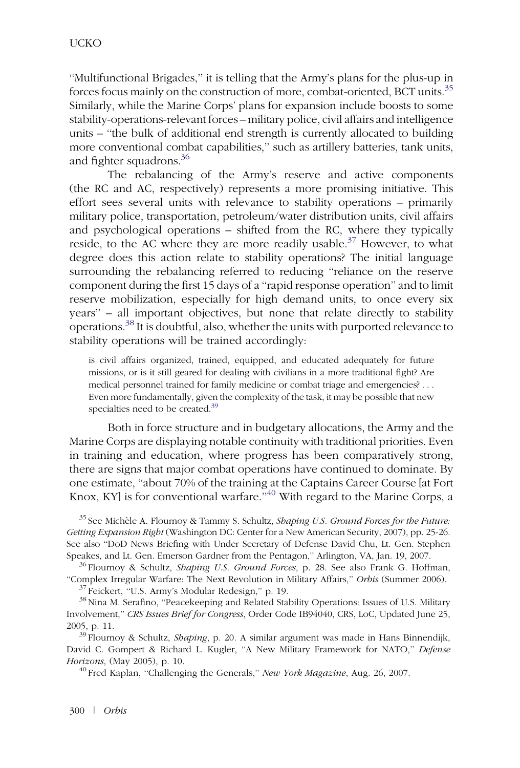''Multifunctional Brigades,'' it is telling that the Army's plans for the plus-up in forces focus mainly on the construction of more, combat-oriented, BCT units.<sup>35</sup> Similarly, while the Marine Corps' plans for expansion include boosts to some stability-operations-relevant forces – military police, civil affairs and intelligence units – ''the bulk of additional end strength is currently allocated to building more conventional combat capabilities,'' such as artillery batteries, tank units, and fighter squadrons.<sup>36</sup>

The rebalancing of the Army's reserve and active components (the RC and AC, respectively) represents a more promising initiative. This effort sees several units with relevance to stability operations – primarily military police, transportation, petroleum/water distribution units, civil affairs and psychological operations – shifted from the RC, where they typically reside, to the AC where they are more readily usable.<sup>37</sup> However, to what degree does this action relate to stability operations? The initial language surrounding the rebalancing referred to reducing ''reliance on the reserve component during the first 15 days of a ''rapid response operation'' and to limit reserve mobilization, especially for high demand units, to once every six years'' – all important objectives, but none that relate directly to stability operations.<sup>38</sup> It is doubtful, also, whether the units with purported relevance to stability operations will be trained accordingly:

is civil affairs organized, trained, equipped, and educated adequately for future missions, or is it still geared for dealing with civilians in a more traditional fight? Are medical personnel trained for family medicine or combat triage and emergencies? . . . Even more fundamentally, given the complexity of the task, it may be possible that new specialties need to be created.<sup>39</sup>

Both in force structure and in budgetary allocations, the Army and the Marine Corps are displaying notable continuity with traditional priorities. Even in training and education, where progress has been comparatively strong, there are signs that major combat operations have continued to dominate. By one estimate, ''about 70% of the training at the Captains Career Course [at Fort Knox, KY] is for conventional warfare.<sup>"40</sup> With regard to the Marine Corps, a

 $35$  See Michèle A. Flournoy & Tammy S. Schultz, Shaping U.S. Ground Forces for the Future: Getting Expansion Right (Washington DC: Center for a New American Security, 2007), pp. 25-26. See also ''DoD News Briefing with Under Secretary of Defense David Chu, Lt. Gen. Stephen Speakes, and Lt. Gen. Emerson Gardner from the Pentagon,'' Arlington, VA, Jan. 19, 2007.

 $36$  Flournoy & Schultz, Shaping U.S. Ground Forces, p. 28. See also Frank G. Hoffman, "Complex Irregular Warfare: The Next Revolution in Military Affairs," Orbis (Summer 2006).<br><sup>37</sup> Feickert, "U.S. Army's Modular Redesign," p. 19.<br><sup>38</sup> Nina M. Serafino, "Peacekeeping and Related Stability Operations: Issues

Involvement,'' CRS Issues Brief for Congress, Order Code IB94040, CRS, LoC, Updated June 25, 2005, p. 11.<br><sup>39</sup> Flournoy & Schultz, *Shaping*, p. 20. A similar argument was made in Hans Binnendijk,

David C. Gompert & Richard L. Kugler, "A New Military Framework for NATO," Defense Horizons, (May 2005), p. 10.<br><sup>40</sup> Fred Kaplan, "Challenging the Generals," *New York Magazine*, Aug. 26, 2007.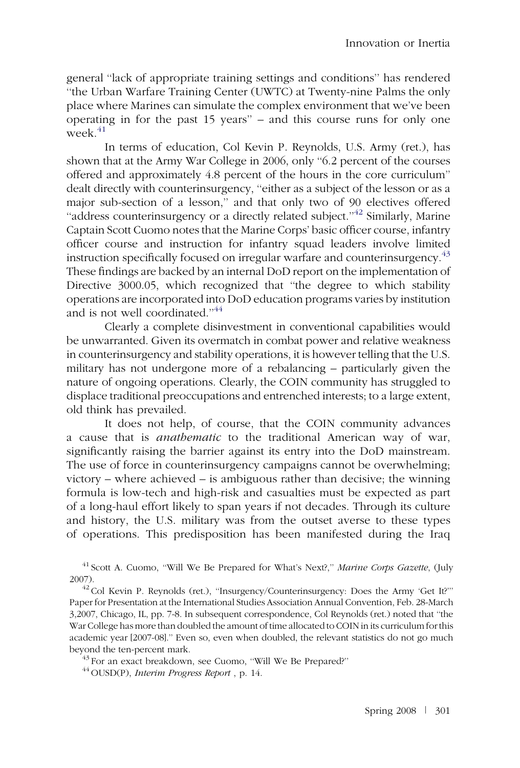general ''lack of appropriate training settings and conditions'' has rendered ''the Urban Warfare Training Center (UWTC) at Twenty-nine Palms the only place where Marines can simulate the complex environment that we've been operating in for the past 15 years'' – and this course runs for only one week $41$ 

In terms of education, Col Kevin P. Reynolds, U.S. Army (ret.), has shown that at the Army War College in 2006, only ''6.2 percent of the courses offered and approximately 4.8 percent of the hours in the core curriculum'' dealt directly with counterinsurgency, ''either as a subject of the lesson or as a major sub-section of a lesson,'' and that only two of 90 electives offered ''address counterinsurgency or a directly related subject.''<sup>42</sup> Similarly, Marine Captain Scott Cuomo notes that the Marine Corps' basic officer course, infantry officer course and instruction for infantry squad leaders involve limited instruction specifically focused on irregular warfare and counterinsurgency.<sup>43</sup> These findings are backed by an internal DoD report on the implementation of Directive 3000.05, which recognized that ''the degree to which stability operations are incorporated into DoD education programs varies by institution and is not well coordinated."<sup>44</sup>

Clearly a complete disinvestment in conventional capabilities would be unwarranted. Given its overmatch in combat power and relative weakness in counterinsurgency and stability operations, it is however telling that the U.S. military has not undergone more of a rebalancing – particularly given the nature of ongoing operations. Clearly, the COIN community has struggled to displace traditional preoccupations and entrenched interests; to a large extent, old think has prevailed.

It does not help, of course, that the COIN community advances a cause that is anathematic to the traditional American way of war, significantly raising the barrier against its entry into the DoD mainstream. The use of force in counterinsurgency campaigns cannot be overwhelming; victory – where achieved – is ambiguous rather than decisive; the winning formula is low-tech and high-risk and casualties must be expected as part of a long-haul effort likely to span years if not decades. Through its culture and history, the U.S. military was from the outset averse to these types of operations. This predisposition has been manifested during the Iraq

 $41$  Scott A. Cuomo, "Will We Be Prepared for What's Next?," *Marine Corps Gazette*, (July 2007). <sup>42</sup> Col Kevin P. Reynolds (ret.), ''Insurgency/Counterinsurgency: Does the Army 'Get It?'''

Paper for Presentation at the International Studies Association Annual Convention, Feb. 28-March 3,2007, Chicago, IL, pp. 7-8. In subsequent correspondence, Col Reynolds (ret.) noted that ''the War College has more than doubled the amount of time allocated to COIN in its curriculum for this academic year [2007-08].'' Even so, even when doubled, the relevant statistics do not go much beyond the ten-percent mark.

 $^{43}$  For an exact breakdown, see Cuomo, "Will We Be Prepared?"  $^{44}$  OUSD(P), *Interim Progress Report* , p. 14.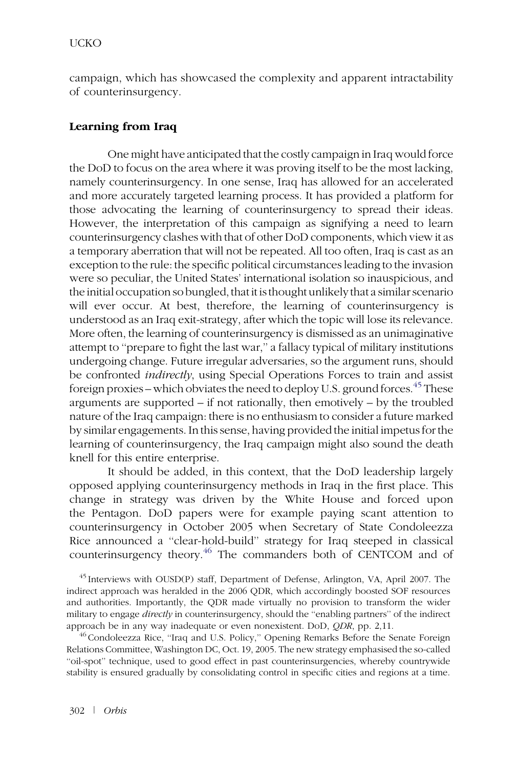campaign, which has showcased the complexity and apparent intractability of counterinsurgency.

#### Learning from Iraq

One might have anticipated that the costly campaign in Iraq would force the DoD to focus on the area where it was proving itself to be the most lacking, namely counterinsurgency. In one sense, Iraq has allowed for an accelerated and more accurately targeted learning process. It has provided a platform for those advocating the learning of counterinsurgency to spread their ideas. However, the interpretation of this campaign as signifying a need to learn counterinsurgency clashes with that of other DoD components, which view it as a temporary aberration that will not be repeated. All too often, Iraq is cast as an exception to the rule: the specific political circumstances leading to the invasion were so peculiar, the United States' international isolation so inauspicious, and the initial occupation so bungled, that it is thought unlikely that a similar scenario will ever occur. At best, therefore, the learning of counterinsurgency is understood as an Iraq exit-strategy, after which the topic will lose its relevance. More often, the learning of counterinsurgency is dismissed as an unimaginative attempt to ''prepare to fight the last war,'' a fallacy typical of military institutions undergoing change. Future irregular adversaries, so the argument runs, should be confronted indirectly, using Special Operations Forces to train and assist foreign proxies – which obviates the need to deploy U.S. ground forces.<sup>45</sup> These arguments are supported – if not rationally, then emotively – by the troubled nature of the Iraq campaign: there is no enthusiasm to consider a future marked by similar engagements. In this sense, having provided the initial impetus for the learning of counterinsurgency, the Iraq campaign might also sound the death knell for this entire enterprise.

It should be added, in this context, that the DoD leadership largely opposed applying counterinsurgency methods in Iraq in the first place. This change in strategy was driven by the White House and forced upon the Pentagon. DoD papers were for example paying scant attention to counterinsurgency in October 2005 when Secretary of State Condoleezza Rice announced a ''clear-hold-build'' strategy for Iraq steeped in classical counterinsurgency theory.46 The commanders both of CENTCOM and of

<sup>45</sup> Interviews with OUSD(P) staff, Department of Defense, Arlington, VA, April 2007. The indirect approach was heralded in the 2006 QDR, which accordingly boosted SOF resources and authorities. Importantly, the QDR made virtually no provision to transform the wider military to engage directly in counterinsurgency, should the "enabling partners" of the indirect approach be in any way inadequate or even nonexistent. DoD, QDR, pp. 2,11.

<sup>46</sup> Condoleezza Rice, "Iraq and U.S. Policy," Opening Remarks Before the Senate Foreign Relations Committee, Washington DC, Oct. 19, 2005. The new strategy emphasised the so-called ''oil-spot'' technique, used to good effect in past counterinsurgencies, whereby countrywide stability is ensured gradually by consolidating control in specific cities and regions at a time.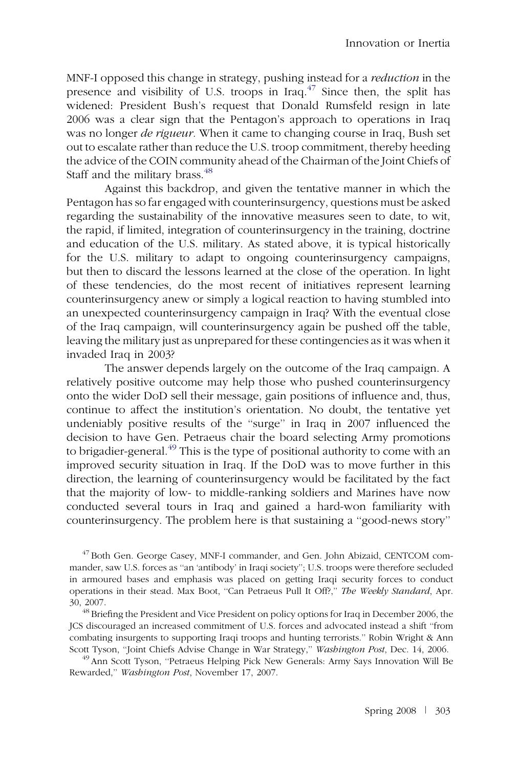MNF-I opposed this change in strategy, pushing instead for a reduction in the presence and visibility of U.S. troops in Iraq. $47$  Since then, the split has widened: President Bush's request that Donald Rumsfeld resign in late 2006 was a clear sign that the Pentagon's approach to operations in Iraq was no longer de rigueur. When it came to changing course in Iraq, Bush set out to escalate rather than reduce the U.S. troop commitment, thereby heeding the advice of the COIN community ahead of the Chairman of the Joint Chiefs of Staff and the military brass.<sup>48</sup>

Against this backdrop, and given the tentative manner in which the Pentagon has so far engaged with counterinsurgency, questions must be asked regarding the sustainability of the innovative measures seen to date, to wit, the rapid, if limited, integration of counterinsurgency in the training, doctrine and education of the U.S. military. As stated above, it is typical historically for the U.S. military to adapt to ongoing counterinsurgency campaigns, but then to discard the lessons learned at the close of the operation. In light of these tendencies, do the most recent of initiatives represent learning counterinsurgency anew or simply a logical reaction to having stumbled into an unexpected counterinsurgency campaign in Iraq? With the eventual close of the Iraq campaign, will counterinsurgency again be pushed off the table, leaving the military just as unprepared for these contingencies as it was when it invaded Iraq in 2003?

The answer depends largely on the outcome of the Iraq campaign. A relatively positive outcome may help those who pushed counterinsurgency onto the wider DoD sell their message, gain positions of influence and, thus, continue to affect the institution's orientation. No doubt, the tentative yet undeniably positive results of the ''surge'' in Iraq in 2007 influenced the decision to have Gen. Petraeus chair the board selecting Army promotions to brigadier-general.<sup>49</sup> This is the type of positional authority to come with an improved security situation in Iraq. If the DoD was to move further in this direction, the learning of counterinsurgency would be facilitated by the fact that the majority of low- to middle-ranking soldiers and Marines have now conducted several tours in Iraq and gained a hard-won familiarity with counterinsurgency. The problem here is that sustaining a ''good-news story''

<sup>47</sup> Both Gen. George Casey, MNF-I commander, and Gen. John Abizaid, CENTCOM commander, saw U.S. forces as ''an 'antibody' in Iraqi society''; U.S. troops were therefore secluded in armoured bases and emphasis was placed on getting Iraqi security forces to conduct operations in their stead. Max Boot, "Can Petraeus Pull It Off?," The Weekly Standard, Apr.

30, 2007. <sup>48</sup> Briefing the President and Vice President on policy options for Iraq in December 2006, the JCS discouraged an increased commitment of U.S. forces and advocated instead a shift ''from combating insurgents to supporting Iraqi troops and hunting terrorists.'' Robin Wright & Ann Scott Tyson, ''Joint Chiefs Advise Change in War Strategy,'' Washington Post, Dec. 14, 2006.

<sup>49</sup> Ann Scott Tyson, ''Petraeus Helping Pick New Generals: Army Says Innovation Will Be Rewarded,'' Washington Post, November 17, 2007.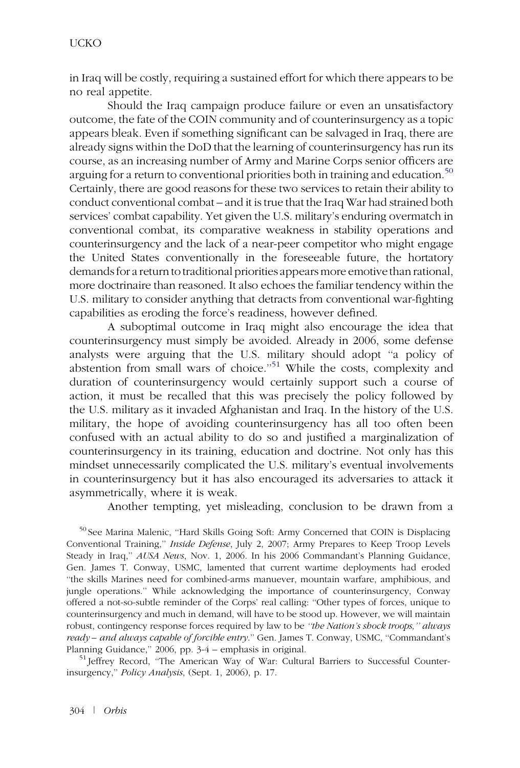in Iraq will be costly, requiring a sustained effort for which there appears to be no real appetite.

Should the Iraq campaign produce failure or even an unsatisfactory outcome, the fate of the COIN community and of counterinsurgency as a topic appears bleak. Even if something significant can be salvaged in Iraq, there are already signs within the DoD that the learning of counterinsurgency has run its course, as an increasing number of Army and Marine Corps senior officers are arguing for a return to conventional priorities both in training and education.<sup>50</sup> Certainly, there are good reasons for these two services to retain their ability to conduct conventional combat – and it is true that the Iraq War had strained both services' combat capability. Yet given the U.S. military's enduring overmatch in conventional combat, its comparative weakness in stability operations and counterinsurgency and the lack of a near-peer competitor who might engage the United States conventionally in the foreseeable future, the hortatory demands for a return to traditional priorities appears more emotive than rational, more doctrinaire than reasoned. It also echoes the familiar tendency within the U.S. military to consider anything that detracts from conventional war-fighting capabilities as eroding the force's readiness, however defined.

A suboptimal outcome in Iraq might also encourage the idea that counterinsurgency must simply be avoided. Already in 2006, some defense analysts were arguing that the U.S. military should adopt ''a policy of abstention from small wars of choice."<sup>51</sup> While the costs, complexity and duration of counterinsurgency would certainly support such a course of action, it must be recalled that this was precisely the policy followed by the U.S. military as it invaded Afghanistan and Iraq. In the history of the U.S. military, the hope of avoiding counterinsurgency has all too often been confused with an actual ability to do so and justified a marginalization of counterinsurgency in its training, education and doctrine. Not only has this mindset unnecessarily complicated the U.S. military's eventual involvements in counterinsurgency but it has also encouraged its adversaries to attack it asymmetrically, where it is weak.

Another tempting, yet misleading, conclusion to be drawn from a

<sup>50</sup> See Marina Malenic, ''Hard Skills Going Soft: Army Concerned that COIN is Displacing Conventional Training,'' Inside Defense, July 2, 2007; Army Prepares to Keep Troop Levels Steady in Iraq,'' AUSA News, Nov. 1, 2006. In his 2006 Commandant's Planning Guidance, Gen. James T. Conway, USMC, lamented that current wartime deployments had eroded ''the skills Marines need for combined-arms manuever, mountain warfare, amphibious, and jungle operations.'' While acknowledging the importance of counterinsurgency, Conway offered a not-so-subtle reminder of the Corps' real calling: ''Other types of forces, unique to counterinsurgency and much in demand, will have to be stood up. However, we will maintain robust, contingency response forces required by law to be ''the Nation's shock troops,'' always ready – and always capable of forcible entry.'' Gen. James T. Conway, USMC, ''Commandant's Planning Guidance,'' 2006, pp. 3-4 – emphasis in original. <sup>51</sup> Jeffrey Record, ''The American Way of War: Cultural Barriers to Successful Counter-

insurgency,'' Policy Analysis, (Sept. 1, 2006), p. 17.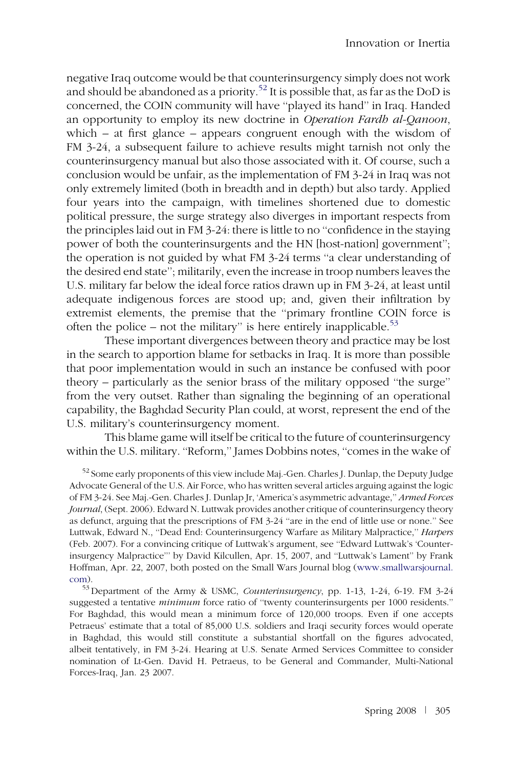negative Iraq outcome would be that counterinsurgency simply does not work and should be abandoned as a priority.<sup>52</sup> It is possible that, as far as the DoD is concerned, the COIN community will have ''played its hand'' in Iraq. Handed an opportunity to employ its new doctrine in Operation Fardh al-Qanoon, which – at first glance – appears congruent enough with the wisdom of FM 3-24, a subsequent failure to achieve results might tarnish not only the counterinsurgency manual but also those associated with it. Of course, such a conclusion would be unfair, as the implementation of FM 3-24 in Iraq was not only extremely limited (both in breadth and in depth) but also tardy. Applied four years into the campaign, with timelines shortened due to domestic political pressure, the surge strategy also diverges in important respects from the principles laid out in FM 3-24: there is little to no ''confidence in the staying power of both the counterinsurgents and the HN [host-nation] government''; the operation is not guided by what FM 3-24 terms ''a clear understanding of the desired end state''; militarily, even the increase in troop numbers leaves the U.S. military far below the ideal force ratios drawn up in FM 3-24, at least until adequate indigenous forces are stood up; and, given their infiltration by extremist elements, the premise that the ''primary frontline COIN force is often the police – not the military" is here entirely inapplicable.<sup>53</sup>

These important divergences between theory and practice may be lost in the search to apportion blame for setbacks in Iraq. It is more than possible that poor implementation would in such an instance be confused with poor theory – particularly as the senior brass of the military opposed ''the surge'' from the very outset. Rather than signaling the beginning of an operational capability, the Baghdad Security Plan could, at worst, represent the end of the U.S. military's counterinsurgency moment.

This blame game will itself be critical to the future of counterinsurgency within the U.S. military. ''Reform,'' James Dobbins notes, ''comes in the wake of

<sup>52</sup> Some early proponents of this view include Maj.-Gen. Charles J. Dunlap, the Deputy Judge Advocate General of the U.S. Air Force, who has written several articles arguing against the logic of FM 3-24. See Maj.-Gen. Charles J. Dunlap Jr, 'America's asymmetric advantage,'' Armed Forces Journal, (Sept. 2006). Edward N. Luttwak provides another critique of counterinsurgency theory as defunct, arguing that the prescriptions of FM 3-24 ''are in the end of little use or none.'' See Luttwak, Edward N., "Dead End: Counterinsurgency Warfare as Military Malpractice," Harpers (Feb. 2007). For a convincing critique of Luttwak's argument, see ''Edward Luttwak's 'Counterinsurgency Malpractice''' by David Kilcullen, Apr. 15, 2007, and ''Luttwak's Lament'' by Frank Hoffman, Apr. 22, 2007, both posted on the Small Wars Journal blog ([www.smallwarsjournal.](http://www.smallwarsjournal.com/) [com\)](http://www.smallwarsjournal.com/).

<sup>53</sup> Department of the Army & USMC, Counterinsurgency, pp. 1-13, 1-24, 6-19. FM 3-24 suggested a tentative minimum force ratio of ''twenty counterinsurgents per 1000 residents.'' For Baghdad, this would mean a minimum force of 120,000 troops. Even if one accepts Petraeus' estimate that a total of 85,000 U.S. soldiers and Iraqi security forces would operate in Baghdad, this would still constitute a substantial shortfall on the figures advocated, albeit tentatively, in FM 3-24. Hearing at U.S. Senate Armed Services Committee to consider nomination of Lt-Gen. David H. Petraeus, to be General and Commander, Multi-National Forces-Iraq, Jan. 23 2007.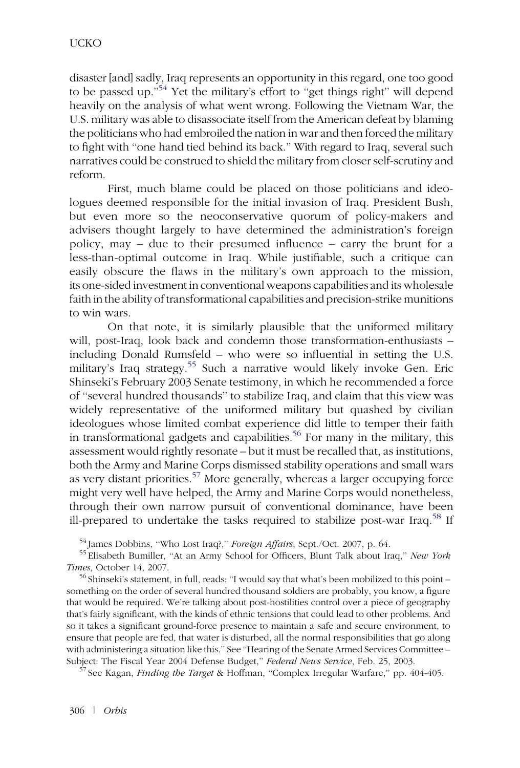disaster [and] sadly, Iraq represents an opportunity in this regard, one too good to be passed up."<sup>54</sup> Yet the military's effort to "get things right" will depend heavily on the analysis of what went wrong. Following the Vietnam War, the U.S. military was able to disassociate itself from the American defeat by blaming the politicians who had embroiled the nation in war and then forced the military to fight with ''one hand tied behind its back.'' With regard to Iraq, several such narratives could be construed to shield the military from closer self-scrutiny and reform.

First, much blame could be placed on those politicians and ideologues deemed responsible for the initial invasion of Iraq. President Bush, but even more so the neoconservative quorum of policy-makers and advisers thought largely to have determined the administration's foreign policy, may – due to their presumed influence – carry the brunt for a less-than-optimal outcome in Iraq. While justifiable, such a critique can easily obscure the flaws in the military's own approach to the mission, its one-sided investment in conventional weapons capabilities and its wholesale faith in the ability of transformational capabilities and precision-strike munitions to win wars.

On that note, it is similarly plausible that the uniformed military will, post-Iraq, look back and condemn those transformation-enthusiasts – including Donald Rumsfeld – who were so influential in setting the U.S. military's Iraq strategy.<sup>55</sup> Such a narrative would likely invoke Gen. Eric Shinseki's February 2003 Senate testimony, in which he recommended a force of ''several hundred thousands'' to stabilize Iraq, and claim that this view was widely representative of the uniformed military but quashed by civilian ideologues whose limited combat experience did little to temper their faith in transformational gadgets and capabilities.<sup>56</sup> For many in the military, this assessment would rightly resonate – but it must be recalled that, as institutions, both the Army and Marine Corps dismissed stability operations and small wars as very distant priorities.57 More generally, whereas a larger occupying force might very well have helped, the Army and Marine Corps would nonetheless, through their own narrow pursuit of conventional dominance, have been ill-prepared to undertake the tasks required to stabilize post-war Iraq[.58](#page-17-0) If

<sup>54</sup> James Dobbins, "Who Lost Iraq?," *Foreign Affairs*, Sept./Oct. 2007, p. 64.<br><sup>55</sup> Elisabeth Bumiller, "At an Army School for Officers, Blunt Talk about Iraq," *New York* Times, October 14, 2007.

 $56$  Shinseki's statement, in full, reads: "I would say that what's been mobilized to this point – something on the order of several hundred thousand soldiers are probably, you know, a figure that would be required. We're talking about post-hostilities control over a piece of geography that's fairly significant, with the kinds of ethnic tensions that could lead to other problems. And so it takes a significant ground-force presence to maintain a safe and secure environment, to ensure that people are fed, that water is disturbed, all the normal responsibilities that go along with administering a situation like this." See "Hearing of the Senate Armed Services Committee – Subject: The Fiscal Year 2004 Defense Budget,'' Federal News Service, Feb. 25, 2003. <sup>57</sup> See Kagan, Finding the Target & Hoffman, ''Complex Irregular Warfare,'' pp. 404-405.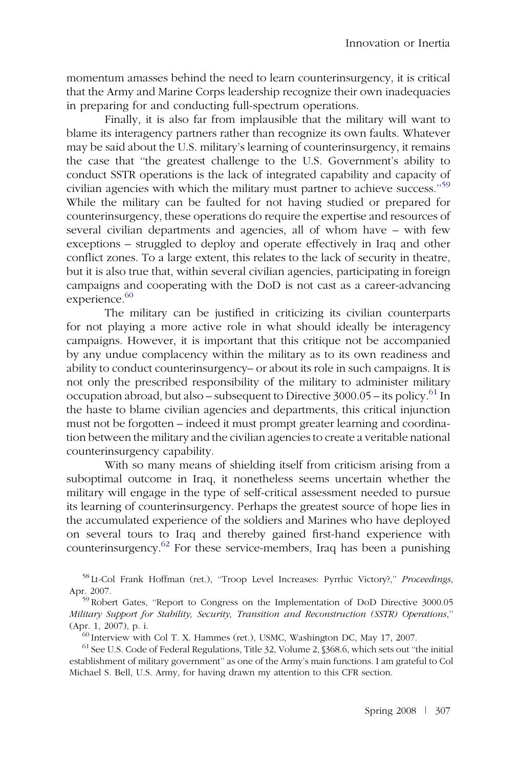<span id="page-17-0"></span>momentum amasses behind the need to learn counterinsurgency, it is critical that the Army and Marine Corps leadership recognize their own inadequacies in preparing for and conducting full-spectrum operations.

Finally, it is also far from implausible that the military will want to blame its interagency partners rather than recognize its own faults. Whatever may be said about the U.S. military's learning of counterinsurgency, it remains the case that ''the greatest challenge to the U.S. Government's ability to conduct SSTR operations is the lack of integrated capability and capacity of civilian agencies with which the military must partner to achieve success."<sup>59</sup> While the military can be faulted for not having studied or prepared for counterinsurgency, these operations do require the expertise and resources of several civilian departments and agencies, all of whom have – with few exceptions – struggled to deploy and operate effectively in Iraq and other conflict zones. To a large extent, this relates to the lack of security in theatre, but it is also true that, within several civilian agencies, participating in foreign campaigns and cooperating with the DoD is not cast as a career-advancing experience.<sup>60</sup>

The military can be justified in criticizing its civilian counterparts for not playing a more active role in what should ideally be interagency campaigns. However, it is important that this critique not be accompanied by any undue complacency within the military as to its own readiness and ability to conduct counterinsurgency– or about its role in such campaigns. It is not only the prescribed responsibility of the military to administer military occupation abroad, but also – subsequent to Directive  $3000.05$  – its policy.<sup>61</sup> In the haste to blame civilian agencies and departments, this critical injunction must not be forgotten – indeed it must prompt greater learning and coordination between the military and the civilian agencies to create a veritable national counterinsurgency capability.

With so many means of shielding itself from criticism arising from a suboptimal outcome in Iraq, it nonetheless seems uncertain whether the military will engage in the type of self-critical assessment needed to pursue its learning of counterinsurgency. Perhaps the greatest source of hope lies in the accumulated experience of the soldiers and Marines who have deployed on several tours to Iraq and thereby gained first-hand experience with counterinsurgency. $^{62}$  For these service-members, Iraq has been a punishing

<sup>58</sup> Lt-Col Frank Hoffman (ret.), "Troop Level Increases: Pyrrhic Victory?," Proceedings, Apr. 2007.

<sup>60</sup> Interview with Col T. X. Hammes (ret.), USMC, Washington DC, May 17, 2007.

<sup>61</sup> See U.S. Code of Federal Regulations, Title 32, Volume 2, §368.6, which sets out ''the initial establishment of military government'' as one of the Army's main functions. I am grateful to Col Michael S. Bell, U.S. Army, for having drawn my attention to this CFR section.

<sup>59</sup> Robert Gates, ''Report to Congress on the Implementation of DoD Directive 3000.05 Military Support for Stability, Security, Transition and Reconstruction (SSTR) Operations,'' (Apr. 1, 2007), p. i.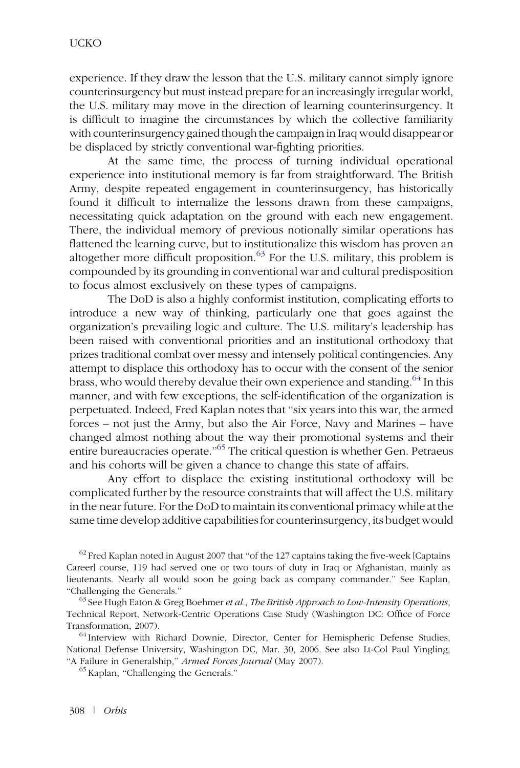<span id="page-18-0"></span>experience. If they draw the lesson that the U.S. military cannot simply ignore counterinsurgency but must instead prepare for an increasingly irregular world, the U.S. military may move in the direction of learning counterinsurgency. It is difficult to imagine the circumstances by which the collective familiarity with counterinsurgency gained though the campaign in Iraq would disappear or be displaced by strictly conventional war-fighting priorities.

At the same time, the process of turning individual operational experience into institutional memory is far from straightforward. The British Army, despite repeated engagement in counterinsurgency, has historically found it difficult to internalize the lessons drawn from these campaigns, necessitating quick adaptation on the ground with each new engagement. There, the individual memory of previous notionally similar operations has flattened the learning curve, but to institutionalize this wisdom has proven an altogether more difficult proposition. $63$  For the U.S. military, this problem is compounded by its grounding in conventional war and cultural predisposition to focus almost exclusively on these types of campaigns.

The DoD is also a highly conformist institution, complicating efforts to introduce a new way of thinking, particularly one that goes against the organization's prevailing logic and culture. The U.S. military's leadership has been raised with conventional priorities and an institutional orthodoxy that prizes traditional combat over messy and intensely political contingencies. Any attempt to displace this orthodoxy has to occur with the consent of the senior brass, who would thereby devalue their own experience and standing.<sup>64</sup> In this manner, and with few exceptions, the self-identification of the organization is perpetuated. Indeed, Fred Kaplan notes that ''six years into this war, the armed forces – not just the Army, but also the Air Force, Navy and Marines – have changed almost nothing about the way their promotional systems and their entire bureaucracies operate."<sup>65</sup> The critical question is whether Gen. Petraeus and his cohorts will be given a chance to change this state of affairs.

Any effort to displace the existing institutional orthodoxy will be complicated further by the resource constraints that will affect the U.S. military in the near future. For the DoD to maintain its conventional primacy while at the same time develop additive capabilities for counterinsurgency, its budget would

 $62$  Fred Kaplan noted in August 2007 that "of the 127 captains taking the five-week [Captains] Career] course, 119 had served one or two tours of duty in Iraq or Afghanistan, mainly as lieutenants. Nearly all would soon be going back as company commander.'' See Kaplan, ''Challenging the Generals.''

 $63$  See Hugh Eaton & Greg Boehmer et al., The British Approach to Low-Intensity Operations, Technical Report, Network-Centric Operations Case Study (Washington DC: Office of Force Transformation, 2007).

<sup>64</sup> Interview with Richard Downie, Director, Center for Hemispheric Defense Studies, National Defense University, Washington DC, Mar. 30, 2006. See also Lt-Col Paul Yingling, ''A Failure in Generalship,'' Armed Forces Journal (May 2007).

<sup>65</sup>Kaplan, "Challenging the Generals."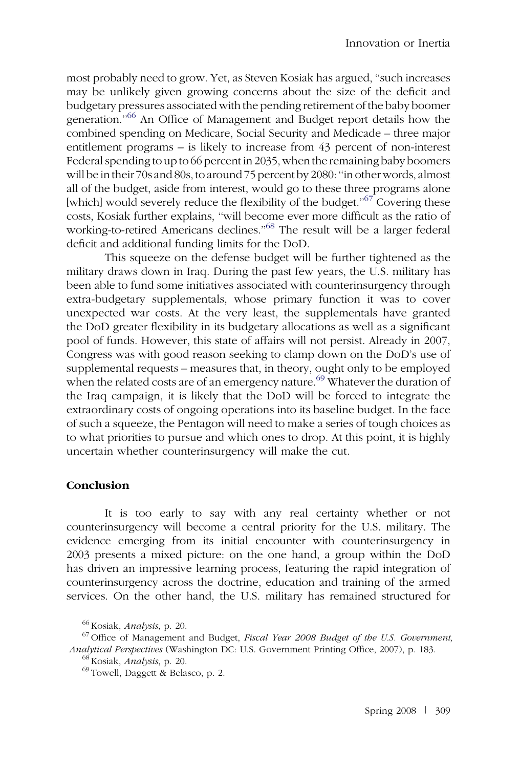most probably need to grow. Yet, as Steven Kosiak has argued, ''such increases may be unlikely given growing concerns about the size of the deficit and budgetary pressures associated with the pending retirement of the baby boomer generation."<sup>66</sup> An Office of Management and Budget report details how the combined spending on Medicare, Social Security and Medicade – three major entitlement programs – is likely to increase from 43 percent of non-interest Federal spending to up to 66 percent in 2035, when the remaining baby boomers will be in their 70s and 80s, to around 75 percent by 2080: "in other words, almost all of the budget, aside from interest, would go to these three programs alone [which] would severely reduce the flexibility of the budget."<sup>67</sup> Covering these costs, Kosiak further explains, ''will become ever more difficult as the ratio of working-to-retired Americans declines."<sup>68</sup> The result will be a larger federal deficit and additional funding limits for the DoD.

This squeeze on the defense budget will be further tightened as the military draws down in Iraq. During the past few years, the U.S. military has been able to fund some initiatives associated with counterinsurgency through extra-budgetary supplementals, whose primary function it was to cover unexpected war costs. At the very least, the supplementals have granted the DoD greater flexibility in its budgetary allocations as well as a significant pool of funds. However, this state of affairs will not persist. Already in 2007, Congress was with good reason seeking to clamp down on the DoD's use of supplemental requests – measures that, in theory, ought only to be employed when the related costs are of an emergency nature.<sup>69</sup> Whatever the duration of the Iraq campaign, it is likely that the DoD will be forced to integrate the extraordinary costs of ongoing operations into its baseline budget. In the face of such a squeeze, the Pentagon will need to make a series of tough choices as to what priorities to pursue and which ones to drop. At this point, it is highly uncertain whether counterinsurgency will make the cut.

#### Conclusion

It is too early to say with any real certainty whether or not counterinsurgency will become a central priority for the U.S. military. The evidence emerging from its initial encounter with counterinsurgency in 2003 presents a mixed picture: on the one hand, a group within the DoD has driven an impressive learning process, featuring the rapid integration of counterinsurgency across the doctrine, education and training of the armed services. On the other hand, the U.S. military has remained structured for

<sup>&</sup>lt;sup>66</sup> Kosiak, Analysis, p. 20.

 $67$  Office of Management and Budget, Fiscal Year 2008 Budget of the U.S. Government, Analytical Perspectives (Washington DC: U.S. Government Printing Office, 2007), p. 183.  $^{68}$ Kosiak, *Analysis*, p. 20.

<sup>69</sup> Towell, Daggett & Belasco, p. 2.